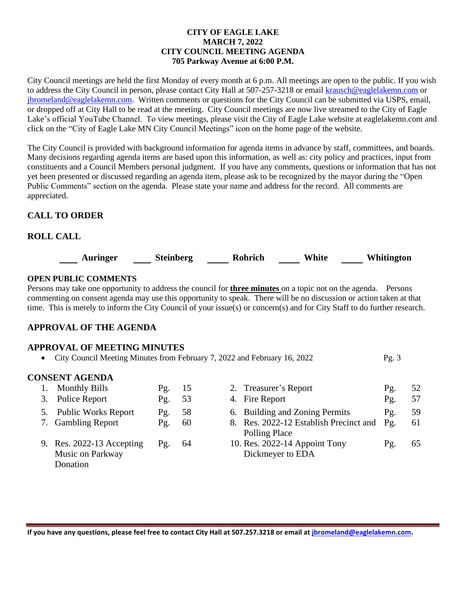#### **CITY OF EAGLE LAKE MARCH 7, 2022 CITY COUNCIL MEETING AGENDA 705 Parkway Avenue at 6:00 P.M.**

City Council meetings are held the first Monday of every month at 6 p.m. All meetings are open to the public. If you wish to address the City Council in person, please contact City Hall at 507-257-3218 or emai[l krausch@eaglelakemn.com](mailto:krausch@eaglelakemn.com) or [jbromeland@eaglelakemn.com.](mailto:jbromeland@eaglelakemn.com) Written comments or questions for the City Council can be submitted via USPS, email, or dropped off at City Hall to be read at the meeting. City Council meetings are now live streamed to the City of Eagle Lake's official YouTube Channel. To view meetings, please visit the City of Eagle Lake website at eaglelakemn.com and click on the "City of Eagle Lake MN City Council Meetings" icon on the home page of the website.

The City Council is provided with background information for agenda items in advance by staff, committees, and boards. Many decisions regarding agenda items are based upon this information, as well as: city policy and practices, input from constituents and a Council Members personal judgment. If you have any comments, questions or information that has not yet been presented or discussed regarding an agenda item, please ask to be recognized by the mayor during the "Open Public Comments" section on the agenda. Please state your name and address for the record. All comments are appreciated.

# **CALL TO ORDER**

# **ROLL CALL**



## **OPEN PUBLIC COMMENTS**

Persons may take one opportunity to address the council for **three minutes** on a topic not on the agenda. Persons commenting on consent agenda may use this opportunity to speak. There will be no discussion or action taken at that time. This is merely to inform the City Council of your issue(s) or concern(s) and for City Staff to do further research.

# **APPROVAL OF THE AGENDA**

### **APPROVAL OF MEETING MINUTES**

• City Council Meeting Minutes from February 7, 2022 and February 16, 2022 Pg. 3

### **CONSENT AGENDA**

|  | <b>Monthly Bills</b>                                      | Pg. | 15 | 2. Treasurer's Report                                   | Pg.                  | 52 |
|--|-----------------------------------------------------------|-----|----|---------------------------------------------------------|----------------------|----|
|  | 3. Police Report                                          | Pg. | 53 | 4. Fire Report                                          | Pg.                  | 57 |
|  | 5. Public Works Report                                    | Pg. | 58 | 6. Building and Zoning Permits                          | $P_{\mathfrak{L}}$ . | 59 |
|  | 7. Gambling Report                                        | Pg. | 60 | 8. Res. 2022-12 Establish Precinct and<br>Polling Place | $P_{\mathfrak{L}}$ . | 61 |
|  | 9. Res. 2022-13 Accepting<br>Music on Parkway<br>Donation | Pg. | 64 | 10. Res. 2022-14 Appoint Tony<br>Dickmeyer to EDA       | Pg.                  | 65 |

**If you have any questions, please feel free to contact City Hall at 507.257.3218 or email at [jbromeland@eaglelakemn.com.](mailto:jbromeland@eaglelakemn.com)**